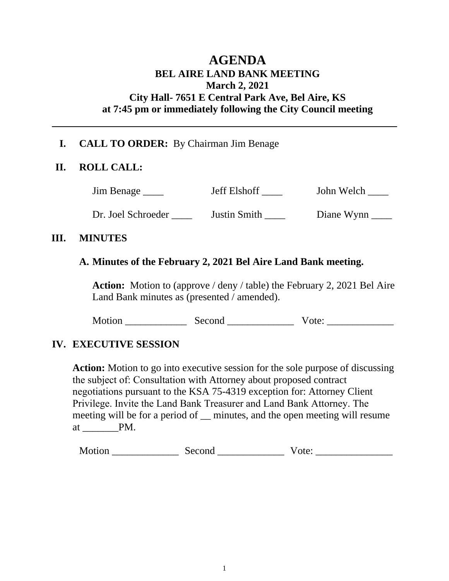# **AGENDA BEL AIRE LAND BANK MEETING March 2, 2021 City Hall- 7651 E Central Park Ave, Bel Aire, KS at 7:45 pm or immediately following the City Council meeting**

## **I. CALL TO ORDER:** By Chairman Jim Benage

#### **II. ROLL CALL:**

Jim Benage \_\_\_\_\_ Jeff Elshoff \_\_\_\_ John Welch \_\_\_

Dr. Joel Schroeder \_\_\_\_ Justin Smith \_\_\_\_ Diane Wynn

#### **III. MINUTES**

## **A. Minutes of the February 2, 2021 Bel Aire Land Bank meeting.**

**Action:** Motion to (approve / deny / table) the February 2, 2021 Bel Aire Land Bank minutes as (presented / amended).

Motion \_\_\_\_\_\_\_\_\_\_\_\_ Second \_\_\_\_\_\_\_\_\_\_\_\_\_ Vote: \_\_\_\_\_\_\_\_\_\_\_\_\_

# **IV. EXECUTIVE SESSION**

**Action:** Motion to go into executive session for the sole purpose of discussing the subject of: Consultation with Attorney about proposed contract negotiations pursuant to the KSA 75-4319 exception for: Attorney Client Privilege. Invite the Land Bank Treasurer and Land Bank Attorney. The meeting will be for a period of <u>minutes</u>, and the open meeting will resume at \_\_\_\_\_\_\_PM.

| M<br>$-$ |  |  |
|----------|--|--|
|----------|--|--|